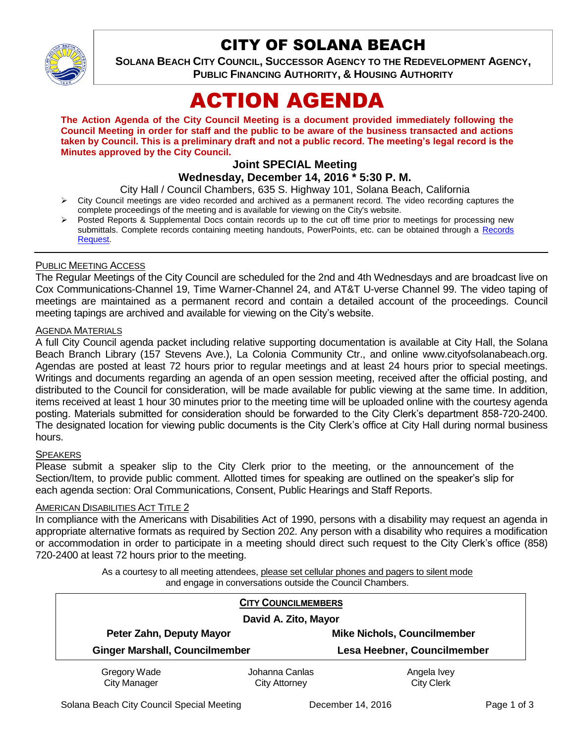

# CITY OF SOLANA BEACH

**SOLANA BEACH CITY COUNCIL, SUCCESSOR AGENCY TO THE REDEVELOPMENT AGENCY, PUBLIC FINANCING AUTHORITY, & HOUSING AUTHORITY** 

# ACTION AGENDA

**The Action Agenda of the City Council Meeting is a document provided immediately following the Council Meeting in order for staff and the public to be aware of the business transacted and actions taken by Council. This is a preliminary draft and not a public record. The meeting's legal record is the Minutes approved by the City Council.**

# **Joint SPECIAL Meeting**

# **Wednesday, December 14, 2016 \* 5:30 P. M.**

City Hall / Council Chambers, 635 S. Highway 101, Solana Beach, California

- $\triangleright$  City Council meetings are video recorded and archived as a permanent record. The video recording captures the complete proceedings of the meeting and is available for viewing on the City's website.
- Posted Reports & Supplemental Docs contain records up to the cut off time prior to meetings for processing new submittals. Complete records containing meeting handouts, PowerPoints, etc. can be obtained through a Records [Request.](http://www.ci.solana-beach.ca.us/index.asp?SEC=F5D45D10-70CE-4291-A27C-7BD633FC6742&Type=B_BASIC)

#### PUBLIC MEETING ACCESS

The Regular Meetings of the City Council are scheduled for the 2nd and 4th Wednesdays and are broadcast live on Cox Communications-Channel 19, Time Warner-Channel 24, and AT&T U-verse Channel 99. The video taping of meetings are maintained as a permanent record and contain a detailed account of the proceedings. Council meeting tapings are archived and available for viewing on the City's website.

#### AGENDA MATERIALS

A full City Council agenda packet including relative supporting documentation is available at City Hall, the Solana Beach Branch Library (157 Stevens Ave.), La Colonia Community Ctr., and online www.cityofsolanabeach.org. Agendas are posted at least 72 hours prior to regular meetings and at least 24 hours prior to special meetings. Writings and documents regarding an agenda of an open session meeting, received after the official posting, and distributed to the Council for consideration, will be made available for public viewing at the same time. In addition, items received at least 1 hour 30 minutes prior to the meeting time will be uploaded online with the courtesy agenda posting. Materials submitted for consideration should be forwarded to the City Clerk's department 858-720-2400. The designated location for viewing public documents is the City Clerk's office at City Hall during normal business hours.

#### **SPEAKERS**

Please submit a speaker slip to the City Clerk prior to the meeting, or the announcement of the Section/Item, to provide public comment. Allotted times for speaking are outlined on the speaker's slip for each agenda section: Oral Communications, Consent, Public Hearings and Staff Reports.

#### AMERICAN DISABILITIES ACT TITLE 2

In compliance with the Americans with Disabilities Act of 1990, persons with a disability may request an agenda in appropriate alternative formats as required by Section 202. Any person with a disability who requires a modification or accommodation in order to participate in a meeting should direct such request to the City Clerk's office (858) 720-2400 at least 72 hours prior to the meeting.

> As a courtesy to all meeting attendees, please set cellular phones and pagers to silent mode and engage in conversations outside the Council Chambers.

| <b>CITY COUNCILMEMBERS</b><br>David A. Zito, Mayor |                                        |                                    |
|----------------------------------------------------|----------------------------------------|------------------------------------|
| Peter Zahn, Deputy Mayor                           |                                        | <b>Mike Nichols, Councilmember</b> |
| <b>Ginger Marshall, Councilmember</b>              |                                        | Lesa Heebner, Councilmember        |
| Gregory Wade<br><b>City Manager</b>                | Johanna Canlas<br><b>City Attorney</b> | Angela Ivey<br><b>City Clerk</b>   |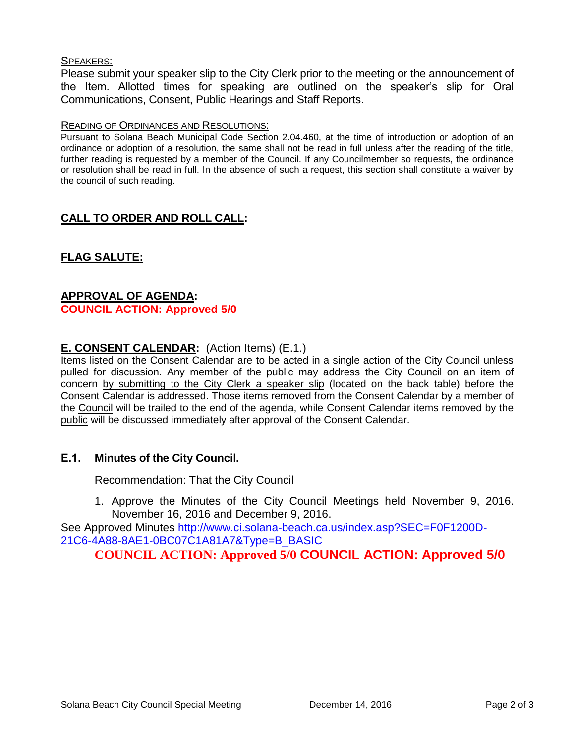#### SPEAKERS:

Please submit your speaker slip to the City Clerk prior to the meeting or the announcement of the Item. Allotted times for speaking are outlined on the speaker's slip for Oral Communications, Consent, Public Hearings and Staff Reports.

#### READING OF ORDINANCES AND RESOLUTIONS:

Pursuant to Solana Beach Municipal Code Section 2.04.460, at the time of introduction or adoption of an ordinance or adoption of a resolution, the same shall not be read in full unless after the reading of the title, further reading is requested by a member of the Council. If any Councilmember so requests, the ordinance or resolution shall be read in full. In the absence of such a request, this section shall constitute a waiver by the council of such reading.

# **CALL TO ORDER AND ROLL CALL:**

# **FLAG SALUTE:**

#### **APPROVAL OF AGENDA: COUNCIL ACTION: Approved 5/0**

# **E. CONSENT CALENDAR:** (Action Items) (E.1.)

Items listed on the Consent Calendar are to be acted in a single action of the City Council unless pulled for discussion. Any member of the public may address the City Council on an item of concern by submitting to the City Clerk a speaker slip (located on the back table) before the Consent Calendar is addressed. Those items removed from the Consent Calendar by a member of the Council will be trailed to the end of the agenda, while Consent Calendar items removed by the public will be discussed immediately after approval of the Consent Calendar.

## **E.1. Minutes of the City Council.**

Recommendation: That the City Council

1. Approve the Minutes of the City Council Meetings held November 9, 2016. November 16, 2016 and December 9, 2016.

See Approved Minutes http://www.ci.solana-beach.ca.us/index.asp?SEC=F0F1200D-21C6-4A88-8AE1-0BC07C1A81A7&Type=B\_BASIC

**COUNCIL ACTION: Approved 5/0 COUNCIL ACTION: Approved 5/0**